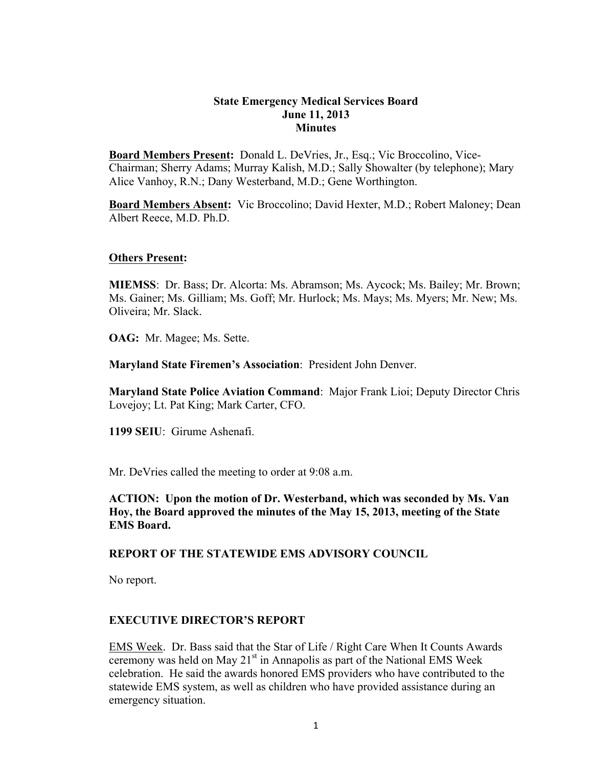#### **State Emergency Medical Services Board June 11, 2013 Minutes**

**Board Members Present:** Donald L. DeVries, Jr., Esq.; Vic Broccolino, Vice-Chairman; Sherry Adams; Murray Kalish, M.D.; Sally Showalter (by telephone); Mary Alice Vanhoy, R.N.; Dany Westerband, M.D.; Gene Worthington.

**Board Members Absent:** Vic Broccolino; David Hexter, M.D.; Robert Maloney; Dean Albert Reece, M.D. Ph.D.

### **Others Present:**

**MIEMSS**: Dr. Bass; Dr. Alcorta: Ms. Abramson; Ms. Aycock; Ms. Bailey; Mr. Brown; Ms. Gainer; Ms. Gilliam; Ms. Goff; Mr. Hurlock; Ms. Mays; Ms. Myers; Mr. New; Ms. Oliveira; Mr. Slack.

**OAG:** Mr. Magee; Ms. Sette.

**Maryland State Firemen's Association**: President John Denver.

**Maryland State Police Aviation Command**: Major Frank Lioi; Deputy Director Chris Lovejoy; Lt. Pat King; Mark Carter, CFO.

**1199 SEIU**: Girume Ashenafi.

Mr. DeVries called the meeting to order at 9:08 a.m.

**ACTION: Upon the motion of Dr. Westerband, which was seconded by Ms. Van Hoy, the Board approved the minutes of the May 15, 2013, meeting of the State EMS Board.**

### **REPORT OF THE STATEWIDE EMS ADVISORY COUNCIL**

No report.

### **EXECUTIVE DIRECTOR'S REPORT**

EMS Week. Dr. Bass said that the Star of Life / Right Care When It Counts Awards ceremony was held on May  $21<sup>st</sup>$  in Annapolis as part of the National EMS Week celebration. He said the awards honored EMS providers who have contributed to the statewide EMS system, as well as children who have provided assistance during an emergency situation.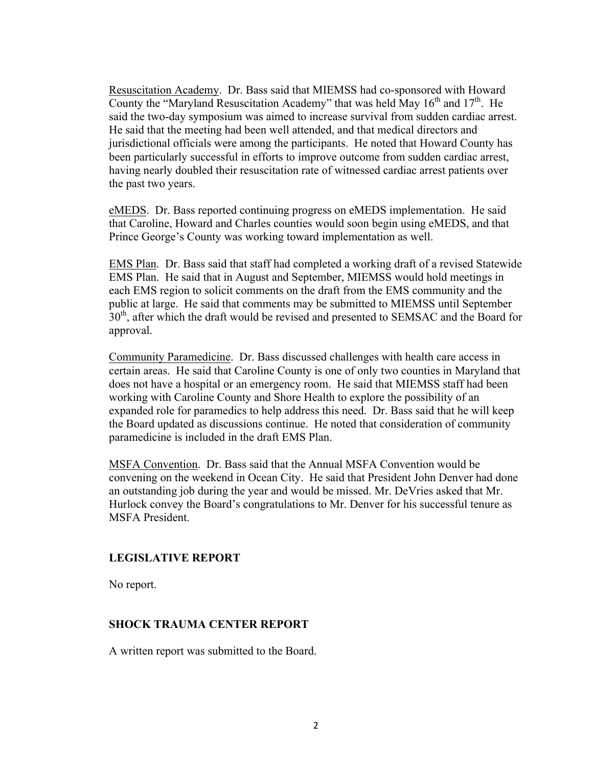Resuscitation Academy. Dr. Bass said that MIEMSS had co-sponsored with Howard County the "Maryland Resuscitation Academy" that was held May  $16<sup>th</sup>$  and  $17<sup>th</sup>$ . He said the two-day symposium was aimed to increase survival from sudden cardiac arrest. He said that the meeting had been well attended, and that medical directors and jurisdictional officials were among the participants. He noted that Howard County has been particularly successful in efforts to improve outcome from sudden cardiac arrest, having nearly doubled their resuscitation rate of witnessed cardiac arrest patients over the past two years.

eMEDS. Dr. Bass reported continuing progress on eMEDS implementation. He said that Caroline, Howard and Charles counties would soon begin using eMEDS, and that Prince George's County was working toward implementation as well.

EMS Plan. Dr. Bass said that staff had completed a working draft of a revised Statewide EMS Plan. He said that in August and September, MIEMSS would hold meetings in each EMS region to solicit comments on the draft from the EMS community and the public at large. He said that comments may be submitted to MIEMSS until September 30<sup>th</sup>, after which the draft would be revised and presented to SEMSAC and the Board for approval.

Community Paramedicine. Dr. Bass discussed challenges with health care access in certain areas. He said that Caroline County is one of only two counties in Maryland that does not have a hospital or an emergency room. He said that MIEMSS staff had been working with Caroline County and Shore Health to explore the possibility of an expanded role for paramedics to help address this need. Dr. Bass said that he will keep the Board updated as discussions continue. He noted that consideration of community paramedicine is included in the draft EMS Plan.

MSFA Convention. Dr. Bass said that the Annual MSFA Convention would be convening on the weekend in Ocean City. He said that President John Denver had done an outstanding job during the year and would be missed. Mr. DeVries asked that Mr. Hurlock convey the Board's congratulations to Mr. Denver for his successful tenure as MSFA President.

## **LEGISLATIVE REPORT**

No report.

## **SHOCK TRAUMA CENTER REPORT**

A written report was submitted to the Board.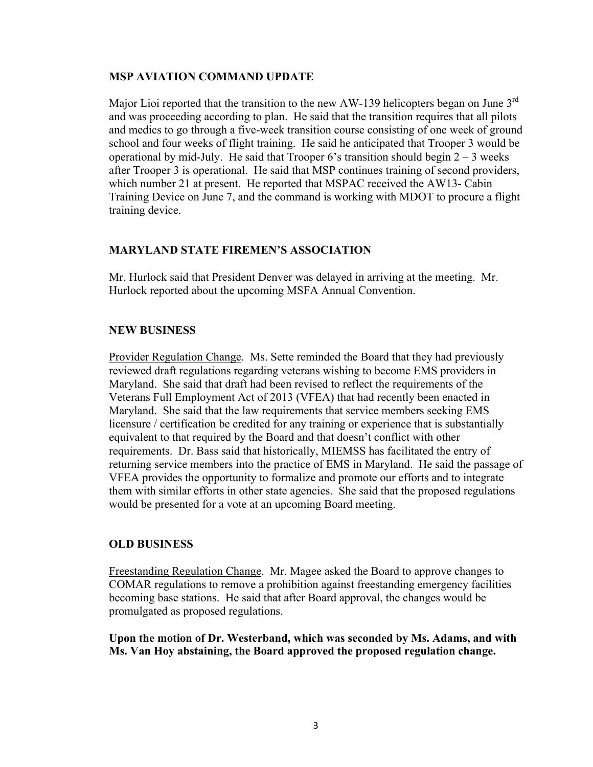### **MSP AVIATION COMMAND UPDATE**

Major Lioi reported that the transition to the new AW-139 helicopters began on June 3<sup>rd</sup> and was proceeding according to plan. He said that the transition requires that all pilots and medics to go through a five-week transition course consisting of one week of ground school and four weeks of flight training. He said he anticipated that Trooper 3 would be operational by mid-July. He said that Trooper 6's transition should begin  $2 - 3$  weeks after Trooper 3 is operational. He said that MSP continues training of second providers, which number 21 at present. He reported that MSPAC received the AW13- Cabin Training Device on June 7, and the command is working with MDOT to procure a flight training device.

## **MARYLAND STATE FIREMEN'S ASSOCIATION**

Mr. Hurlock said that President Denver was delayed in arriving at the meeting. Mr. Hurlock reported about the upcoming MSFA Annual Convention.

# **NEW BUSINESS**

Provider Regulation Change. Ms. Sette reminded the Board that they had previously reviewed draft regulations regarding veterans wishing to become EMS providers in Maryland. She said that draft had been revised to reflect the requirements of the Veterans Full Employment Act of 2013 (VFEA) that had recently been enacted in Maryland. She said that the law requirements that service members seeking EMS licensure / certification be credited for any training or experience that is substantially equivalent to that required by the Board and that doesn't conflict with other requirements. Dr. Bass said that historically, MIEMSS has facilitated the entry of returning service members into the practice of EMS in Maryland. He said the passage of VFEA provides the opportunity to formalize and promote our efforts and to integrate them with similar efforts in other state agencies. She said that the proposed regulations would be presented for a vote at an upcoming Board meeting.

## **OLD BUSINESS**

Freestanding Regulation Change. Mr. Magee asked the Board to approve changes to COMAR regulations to remove a prohibition against freestanding emergency facilities becoming base stations. He said that after Board approval, the changes would be promulgated as proposed regulations.

**Upon the motion of Dr. Westerband, which was seconded by Ms. Adams, and with Ms. Van Hoy abstaining, the Board approved the proposed regulation change.**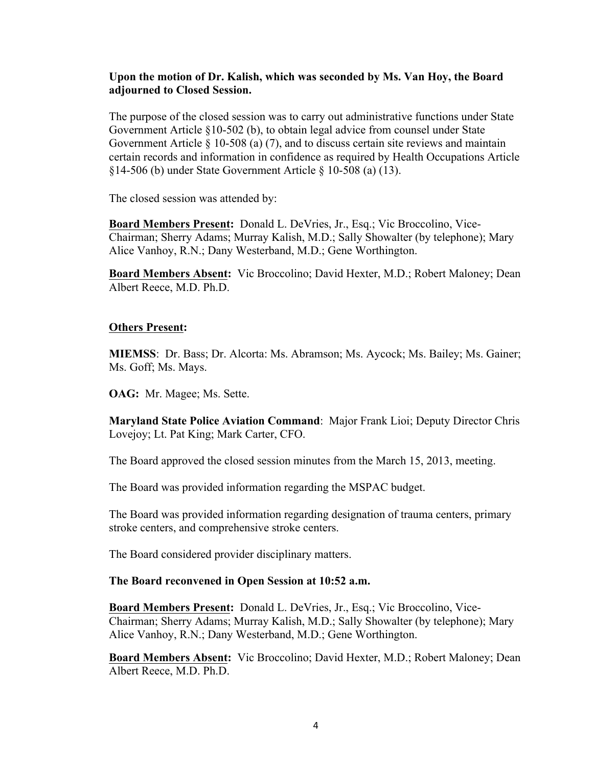### **Upon the motion of Dr. Kalish, which was seconded by Ms. Van Hoy, the Board adjourned to Closed Session.**

The purpose of the closed session was to carry out administrative functions under State Government Article §10-502 (b), to obtain legal advice from counsel under State Government Article  $\S$  10-508 (a) (7), and to discuss certain site reviews and maintain certain records and information in confidence as required by Health Occupations Article §14-506 (b) under State Government Article § 10-508 (a) (13).

The closed session was attended by:

**Board Members Present:** Donald L. DeVries, Jr., Esq.; Vic Broccolino, Vice-Chairman; Sherry Adams; Murray Kalish, M.D.; Sally Showalter (by telephone); Mary Alice Vanhoy, R.N.; Dany Westerband, M.D.; Gene Worthington.

**Board Members Absent:** Vic Broccolino; David Hexter, M.D.; Robert Maloney; Dean Albert Reece, M.D. Ph.D.

### **Others Present:**

**MIEMSS**: Dr. Bass; Dr. Alcorta: Ms. Abramson; Ms. Aycock; Ms. Bailey; Ms. Gainer; Ms. Goff; Ms. Mays.

**OAG:** Mr. Magee; Ms. Sette.

**Maryland State Police Aviation Command**: Major Frank Lioi; Deputy Director Chris Lovejoy; Lt. Pat King; Mark Carter, CFO.

The Board approved the closed session minutes from the March 15, 2013, meeting.

The Board was provided information regarding the MSPAC budget.

The Board was provided information regarding designation of trauma centers, primary stroke centers, and comprehensive stroke centers.

The Board considered provider disciplinary matters.

### **The Board reconvened in Open Session at 10:52 a.m.**

**Board Members Present:** Donald L. DeVries, Jr., Esq.; Vic Broccolino, Vice-Chairman; Sherry Adams; Murray Kalish, M.D.; Sally Showalter (by telephone); Mary Alice Vanhoy, R.N.; Dany Westerband, M.D.; Gene Worthington.

**Board Members Absent:** Vic Broccolino; David Hexter, M.D.; Robert Maloney; Dean Albert Reece, M.D. Ph.D.